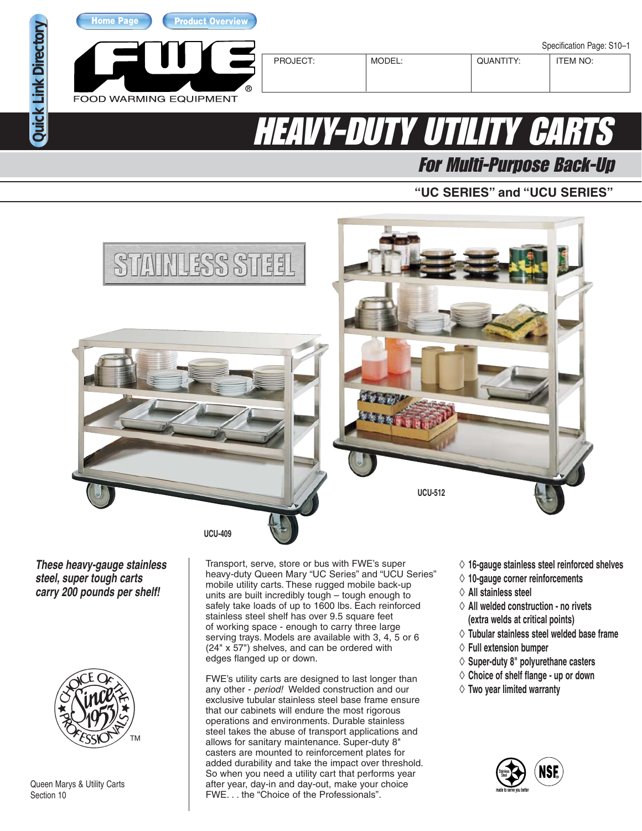

**[Home Page](http://www.fwe.com/) [Product Overview](http://www.fwe.com/queen-mary)**

**FOOD WARMING EQUIPMENT** 

## **HEAVY-DUTY UTILITY CAR**

For Multi-Purpose Back-Up

## **"UC SERIES" and "UCU SERIES"**



**These heavy-gauge stainless steel, super tough carts carry 200 pounds per shelf!**

**[Quick Link Directory](http://www.fwe.com/models-list)** 

**Quick Link Directory** 



Queen Marys & Utility Carts Section 10

Transport, serve, store or bus with FWE's super heavy-duty Queen Mary "UC Series" and "UCU Series" mobile utility carts. These rugged mobile back-up units are built incredibly tough – tough enough to safely take loads of up to 1600 lbs. Each reinforced stainless steel shelf has over 9.5 square feet of working space - enough to carry three large serving trays. Models are available with 3, 4, 5 or 6 (24" x 57") shelves, and can be ordered with edges flanged up or down.

FWE's utility carts are designed to last longer than any other - period! Welded construction and our exclusive tubular stainless steel base frame ensure that our cabinets will endure the most rigorous operations and environments. Durable stainless steel takes the abuse of transport applications and allows for sanitary maintenance. Super-duty 8" casters are mounted to reinforcement plates for added durability and take the impact over threshold. So when you need a utility cart that performs year after year, day-in and day-out, make your choice FWE. . . the "Choice of the Professionals".

- ◊ **16-gauge stainless steel reinforced shelves**
- ◊ **10-gauge corner reinforcements**
- ◊ **All stainless steel**
- ◊ **All welded construction no rivets (extra welds at critical points)**
- ◊ **Tubular stainless steel welded base frame**
- ◊ **Full extension bumper**
- ◊ **Super-duty 8" polyurethane casters**
- ◊ **Choice of shelf flange up or down**
- ◊ **Two year limited warranty**